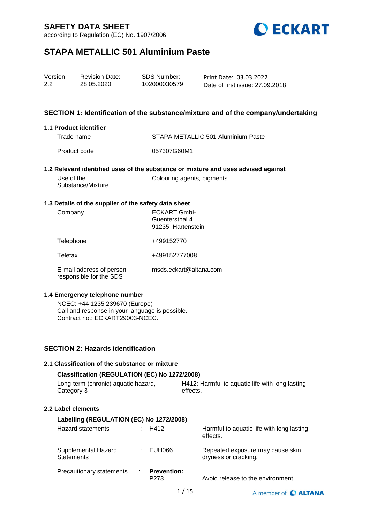according to Regulation (EC) No. 1907/2006



## **STAPA METALLIC 501 Aluminium Paste**

| Version | <b>Revision Date:</b> | SDS Number:  | Print Date: 03.03.2022          |
|---------|-----------------------|--------------|---------------------------------|
| 2.2     | 28.05.2020            | 102000030579 | Date of first issue: 27,09,2018 |

### **SECTION 1: Identification of the substance/mixture and of the company/undertaking**

#### **1.1 Product identifier**

| Trade name   | : STAPA METALLIC 501 Aluminium Paste |
|--------------|--------------------------------------|
| Product code | : 057307G60M1                        |

### **1.2 Relevant identified uses of the substance or mixture and uses advised against**

| Use of the        | : Colouring agents, pigments |
|-------------------|------------------------------|
| Substance/Mixture |                              |

#### **1.3 Details of the supplier of the safety data sheet**

| Company                                             | <b>ECKART GmbH</b><br>Guentersthal 4<br>91235 Hartenstein |
|-----------------------------------------------------|-----------------------------------------------------------|
| Telephone                                           | +499152770                                                |
| Telefax                                             | +499152777008                                             |
| E-mail address of person<br>responsible for the SDS | msds.eckart@altana.com                                    |

#### **1.4 Emergency telephone number**

NCEC: +44 1235 239670 (Europe) Call and response in your language is possible. Contract no.: ECKART29003-NCEC.

## **SECTION 2: Hazards identification**

| 2.1 Classification of the substance or mixture    |  |                                                             |  |                                                          |  |
|---------------------------------------------------|--|-------------------------------------------------------------|--|----------------------------------------------------------|--|
| Classification (REGULATION (EC) No 1272/2008)     |  |                                                             |  |                                                          |  |
| Long-term (chronic) aquatic hazard,<br>Category 3 |  | H412: Harmful to aguatic life with long lasting<br>effects. |  |                                                          |  |
| 2.2 Label elements                                |  |                                                             |  |                                                          |  |
| Labelling (REGULATION (EC) No 1272/2008)          |  |                                                             |  |                                                          |  |
| Hazard statements                                 |  | $\therefore$ H412                                           |  | Harmful to aquatic life with long lasting<br>effects.    |  |
| Supplemental Hazard<br><b>Statements</b>          |  | $\pm$ EUH066                                                |  | Repeated exposure may cause skin<br>dryness or cracking. |  |
| Precautionary statements                          |  | <b>Prevention:</b><br>P <sub>273</sub>                      |  | Avoid release to the environment.                        |  |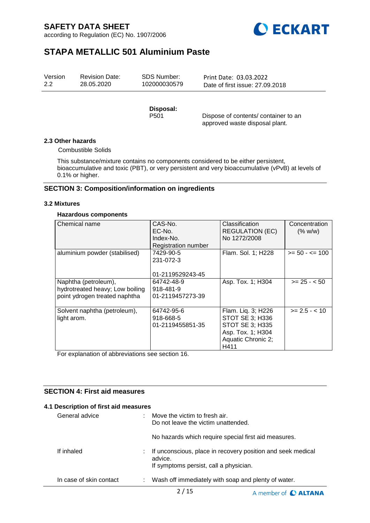according to Regulation (EC) No. 1907/2006



# **STAPA METALLIC 501 Aluminium Paste**

| Version | <b>Revision Date:</b> | SDS Number:  | Print Date: 03.03.2022          |
|---------|-----------------------|--------------|---------------------------------|
| 2.2     | 28.05.2020            | 102000030579 | Date of first issue: 27,09,2018 |
|         |                       |              |                                 |

**Disposal:** 

Dispose of contents/ container to an approved waste disposal plant.

#### **2.3 Other hazards**

Combustible Solids

This substance/mixture contains no components considered to be either persistent, bioaccumulative and toxic (PBT), or very persistent and very bioaccumulative (vPvB) at levels of 0.1% or higher.

### **SECTION 3: Composition/information on ingredients**

#### **3.2 Mixtures**

### **Hazardous components**

| Chemical name                                                                            | CAS-No.<br>EC-No.<br>Index-No.<br>Registration number | <b>Classification</b><br><b>REGULATION (EC)</b><br>No 1272/2008                                             | Concentration<br>(% w/w) |
|------------------------------------------------------------------------------------------|-------------------------------------------------------|-------------------------------------------------------------------------------------------------------------|--------------------------|
| aluminium powder (stabilised)                                                            | 7429-90-5<br>231-072-3<br>01-2119529243-45            | Flam. Sol. 1; H228                                                                                          | $>= 50 - \le 100$        |
| Naphtha (petroleum),<br>hydrotreated heavy; Low boiling<br>point ydrogen treated naphtha | 64742-48-9<br>918-481-9<br>01-2119457273-39           | Asp. Tox. 1; H304                                                                                           | $>= 25 - 50$             |
| Solvent naphtha (petroleum),<br>light arom.                                              | 64742-95-6<br>918-668-5<br>01-2119455851-35           | Flam. Liq. 3; H226<br>STOT SE 3; H336<br>STOT SE 3; H335<br>Asp. Tox. 1; H304<br>Aquatic Chronic 2;<br>H411 | $>= 2.5 - < 10$          |

For explanation of abbreviations see section 16.

## **SECTION 4: First aid measures**

#### **4.1 Description of first aid measures**

| General advice          | Move the victim to fresh air.<br>Do not leave the victim unattended.                                             |
|-------------------------|------------------------------------------------------------------------------------------------------------------|
|                         | No hazards which require special first aid measures.                                                             |
| If inhaled              | If unconscious, place in recovery position and seek medical<br>advice.<br>If symptoms persist, call a physician. |
| In case of skin contact | Wash off immediately with soap and plenty of water.                                                              |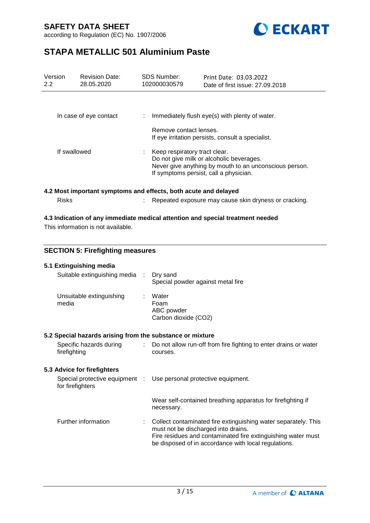according to Regulation (EC) No. 1907/2006



# **STAPA METALLIC 501 Aluminium Paste**

| Version<br>$2.2^{\circ}$ | <b>Revision Date:</b><br>28.05.2020 | <b>SDS Number:</b><br>102000030579                              | Print Date: 03.03.2022<br>Date of first issue: 27,09,2018                                                                                                                     |  |
|--------------------------|-------------------------------------|-----------------------------------------------------------------|-------------------------------------------------------------------------------------------------------------------------------------------------------------------------------|--|
|                          | In case of eye contact              | ÷.                                                              | Immediately flush eye(s) with plenty of water.                                                                                                                                |  |
|                          |                                     | Remove contact lenses.                                          | If eye irritation persists, consult a specialist.                                                                                                                             |  |
| If swallowed             |                                     |                                                                 | Keep respiratory tract clear.<br>Do not give milk or alcoholic beverages.<br>Never give anything by mouth to an unconscious person.<br>If symptoms persist, call a physician. |  |
|                          |                                     | 4.2 Most important symptoms and effects, both acute and delayed |                                                                                                                                                                               |  |
| <b>Risks</b>             |                                     |                                                                 | Repeated exposure may cause skin dryness or cracking.                                                                                                                         |  |

### **4.3 Indication of any immediate medical attention and special treatment needed**

This information is not available.

### **SECTION 5: Firefighting measures**

| 5.1 Extinguishing media                                   |                               |                                                                                                                                                                                                                               |
|-----------------------------------------------------------|-------------------------------|-------------------------------------------------------------------------------------------------------------------------------------------------------------------------------------------------------------------------------|
| Suitable extinguishing media :                            |                               | Dry sand<br>Special powder against metal fire                                                                                                                                                                                 |
| Unsuitable extinguishing<br>media                         |                               | Water<br>Foam<br>ABC powder<br>Carbon dioxide (CO2)                                                                                                                                                                           |
| 5.2 Special hazards arising from the substance or mixture |                               |                                                                                                                                                                                                                               |
| Specific hazards during<br>firefighting                   | $\mathcal{I}^{\mathcal{I}}$ . | Do not allow run-off from fire fighting to enter drains or water<br>courses.                                                                                                                                                  |
| 5.3 Advice for firefighters                               |                               |                                                                                                                                                                                                                               |
| for firefighters                                          |                               | Special protective equipment : Use personal protective equipment.                                                                                                                                                             |
|                                                           |                               | Wear self-contained breathing apparatus for firefighting if<br>necessary.                                                                                                                                                     |
| Further information                                       |                               | Collect contaminated fire extinguishing water separately. This<br>must not be discharged into drains.<br>Fire residues and contaminated fire extinguishing water must<br>be disposed of in accordance with local regulations. |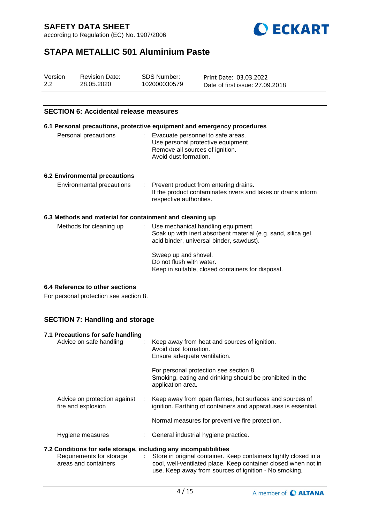according to Regulation (EC) No. 1907/2006



# **STAPA METALLIC 501 Aluminium Paste**

| Version | <b>Revision Date:</b> | SDS Number:  | Print Date: 03.03.2022          |
|---------|-----------------------|--------------|---------------------------------|
| 2.2     | 28.05.2020            | 102000030579 | Date of first issue: 27,09,2018 |

### **SECTION 6: Accidental release measures**

|                                                          | 6.1 Personal precautions, protective equipment and emergency procedures                                                                           |
|----------------------------------------------------------|---------------------------------------------------------------------------------------------------------------------------------------------------|
| Personal precautions                                     | : Evacuate personnel to safe areas.<br>Use personal protective equipment.<br>Remove all sources of ignition.<br>Avoid dust formation.             |
| 6.2 Environmental precautions                            |                                                                                                                                                   |
| Environmental precautions                                | : Prevent product from entering drains.<br>If the product contaminates rivers and lakes or drains inform<br>respective authorities.               |
| 6.3 Methods and material for containment and cleaning up |                                                                                                                                                   |
| Methods for cleaning up                                  | : Use mechanical handling equipment.<br>Soak up with inert absorbent material (e.g. sand, silica gel,<br>acid binder, universal binder, sawdust). |
|                                                          | Sweep up and shovel.<br>Do not flush with water.<br>Keep in suitable, closed containers for disposal.                                             |

### **6.4 Reference to other sections**

For personal protection see section 8.

### **SECTION 7: Handling and storage**

| 7.1 Precautions for safe handling<br>Advice on safe handling     | ÷. | Keep away from heat and sources of ignition.<br>Avoid dust formation.<br>Ensure adequate ventilation.                                                                                         |
|------------------------------------------------------------------|----|-----------------------------------------------------------------------------------------------------------------------------------------------------------------------------------------------|
|                                                                  |    | For personal protection see section 8.<br>Smoking, eating and drinking should be prohibited in the<br>application area.                                                                       |
| Advice on protection against<br>fire and explosion               | ÷  | Keep away from open flames, hot surfaces and sources of<br>ignition. Earthing of containers and apparatuses is essential.                                                                     |
|                                                                  |    | Normal measures for preventive fire protection.                                                                                                                                               |
| Hygiene measures                                                 |    | : General industrial hygiene practice.                                                                                                                                                        |
| 7.2 Conditions for safe storage, including any incompatibilities |    |                                                                                                                                                                                               |
| Requirements for storage<br>areas and containers                 |    | : Store in original container. Keep containers tightly closed in a<br>cool, well-ventilated place. Keep container closed when not in<br>use. Keep away from sources of ignition - No smoking. |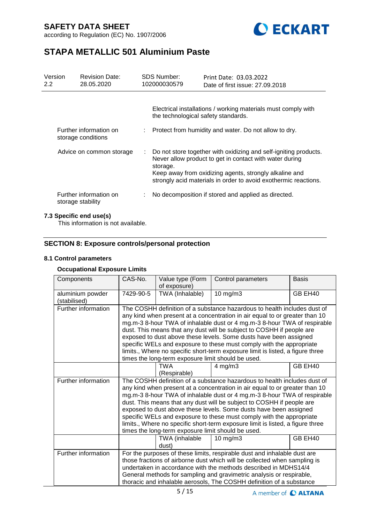



# **STAPA METALLIC 501 Aluminium Paste**

| Version<br>$2.2^{\circ}$ | <b>Revision Date:</b><br>28.05.2020          |    | <b>SDS Number:</b><br>102000030579  | Print Date: 03.03.2022<br>Date of first issue: 27.09.2018                                                                                                                                                                                                |
|--------------------------|----------------------------------------------|----|-------------------------------------|----------------------------------------------------------------------------------------------------------------------------------------------------------------------------------------------------------------------------------------------------------|
|                          |                                              |    | the technological safety standards. | Electrical installations / working materials must comply with                                                                                                                                                                                            |
|                          | Further information on<br>storage conditions |    |                                     | Protect from humidity and water. Do not allow to dry.                                                                                                                                                                                                    |
|                          | Advice on common storage                     | ÷. | storage.                            | Do not store together with oxidizing and self-igniting products.<br>Never allow product to get in contact with water during<br>Keep away from oxidizing agents, strongly alkaline and<br>strongly acid materials in order to avoid exothermic reactions. |
|                          | Further information on<br>storage stability  |    |                                     | No decomposition if stored and applied as directed.                                                                                                                                                                                                      |

### **7.3 Specific end use(s)**

This information is not available.

## **SECTION 8: Exposure controls/personal protection**

#### **8.1 Control parameters**

### **Occupational Exposure Limits**

| Components                       | CAS-No.                                                                                                                                                                                                                                                                                                                                                                                                                                                                                                                                                                                           | Value type (Form<br>of exposure)                                     | Control parameters                                                                                                                                                                                                                                                                                                                                                                                                                                                                                                                                           | <b>Basis</b> |
|----------------------------------|---------------------------------------------------------------------------------------------------------------------------------------------------------------------------------------------------------------------------------------------------------------------------------------------------------------------------------------------------------------------------------------------------------------------------------------------------------------------------------------------------------------------------------------------------------------------------------------------------|----------------------------------------------------------------------|--------------------------------------------------------------------------------------------------------------------------------------------------------------------------------------------------------------------------------------------------------------------------------------------------------------------------------------------------------------------------------------------------------------------------------------------------------------------------------------------------------------------------------------------------------------|--------------|
| aluminium powder<br>(stabilised) | 7429-90-5                                                                                                                                                                                                                                                                                                                                                                                                                                                                                                                                                                                         | TWA (Inhalable)                                                      | $10$ mg/m $3$                                                                                                                                                                                                                                                                                                                                                                                                                                                                                                                                                | GB EH40      |
| Further information              | The COSHH definition of a substance hazardous to health includes dust of<br>any kind when present at a concentration in air equal to or greater than 10<br>mg.m-3 8-hour TWA of inhalable dust or 4 mg.m-3 8-hour TWA of respirable<br>dust. This means that any dust will be subject to COSHH if people are<br>exposed to dust above these levels. Some dusts have been assigned<br>specific WELs and exposure to these must comply with the appropriate<br>limits., Where no specific short-term exposure limit is listed, a figure three<br>times the long-term exposure limit should be used. |                                                                      |                                                                                                                                                                                                                                                                                                                                                                                                                                                                                                                                                              |              |
|                                  |                                                                                                                                                                                                                                                                                                                                                                                                                                                                                                                                                                                                   | <b>TWA</b><br>(Respirable)                                           | $4$ mg/m $3$                                                                                                                                                                                                                                                                                                                                                                                                                                                                                                                                                 | GB EH40      |
| Further information              |                                                                                                                                                                                                                                                                                                                                                                                                                                                                                                                                                                                                   | times the long-term exposure limit should be used.<br>TWA (inhalable | The COSHH definition of a substance hazardous to health includes dust of<br>any kind when present at a concentration in air equal to or greater than 10<br>mg.m-3 8-hour TWA of inhalable dust or 4 mg.m-3 8-hour TWA of respirable<br>dust. This means that any dust will be subject to COSHH if people are<br>exposed to dust above these levels. Some dusts have been assigned<br>specific WELs and exposure to these must comply with the appropriate<br>limits., Where no specific short-term exposure limit is listed, a figure three<br>$10$ mg/m $3$ | GB EH40      |
|                                  |                                                                                                                                                                                                                                                                                                                                                                                                                                                                                                                                                                                                   | dust)                                                                |                                                                                                                                                                                                                                                                                                                                                                                                                                                                                                                                                              |              |
| Further information              |                                                                                                                                                                                                                                                                                                                                                                                                                                                                                                                                                                                                   |                                                                      | For the purposes of these limits, respirable dust and inhalable dust are<br>those fractions of airborne dust which will be collected when sampling is<br>undertaken in accordance with the methods described in MDHS14/4<br>General methods for sampling and gravimetric analysis or respirable,<br>thoracic and inhalable aerosols, The COSHH definition of a substance                                                                                                                                                                                     |              |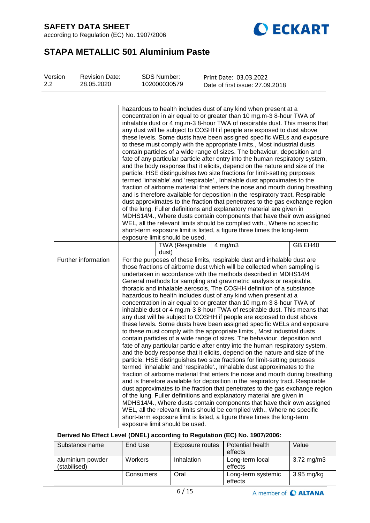according to Regulation (EC) No. 1907/2006



# **STAPA METALLIC 501 Aluminium Paste**

| Version<br>2.2 | <b>Revision Date:</b><br>28.05.2020 | <b>SDS Number:</b><br>102000030579                                                                                                                                                                                                                                                                                                                                                                                                                                                                                                                                                                                                                                                                                                                                                                                                                                                                                                                                                                                                                                                                                                                                                                                                                                                                                                                                                                                                                                                                                                                                                                                                                                                                                                                                                                                                                                                                                                                                                                                                                                                                                                                                                                                                                                                                                                                                                                                                                                                                                                                                                                                                                                                                                                                                                                                                                                                                   | Print Date: 03.03.2022                          |         |
|----------------|-------------------------------------|------------------------------------------------------------------------------------------------------------------------------------------------------------------------------------------------------------------------------------------------------------------------------------------------------------------------------------------------------------------------------------------------------------------------------------------------------------------------------------------------------------------------------------------------------------------------------------------------------------------------------------------------------------------------------------------------------------------------------------------------------------------------------------------------------------------------------------------------------------------------------------------------------------------------------------------------------------------------------------------------------------------------------------------------------------------------------------------------------------------------------------------------------------------------------------------------------------------------------------------------------------------------------------------------------------------------------------------------------------------------------------------------------------------------------------------------------------------------------------------------------------------------------------------------------------------------------------------------------------------------------------------------------------------------------------------------------------------------------------------------------------------------------------------------------------------------------------------------------------------------------------------------------------------------------------------------------------------------------------------------------------------------------------------------------------------------------------------------------------------------------------------------------------------------------------------------------------------------------------------------------------------------------------------------------------------------------------------------------------------------------------------------------------------------------------------------------------------------------------------------------------------------------------------------------------------------------------------------------------------------------------------------------------------------------------------------------------------------------------------------------------------------------------------------------------------------------------------------------------------------------------------------------|-------------------------------------------------|---------|
|                | Further information                 | hazardous to health includes dust of any kind when present at a<br>concentration in air equal to or greater than 10 mg.m-3 8-hour TWA of<br>inhalable dust or 4 mg.m-3 8-hour TWA of respirable dust. This means that<br>any dust will be subject to COSHH if people are exposed to dust above<br>these levels. Some dusts have been assigned specific WELs and exposure<br>to these must comply with the appropriate limits., Most industrial dusts<br>contain particles of a wide range of sizes. The behaviour, deposition and<br>fate of any particular particle after entry into the human respiratory system,<br>and the body response that it elicits, depend on the nature and size of the<br>particle. HSE distinguishes two size fractions for limit-setting purposes<br>termed 'inhalable' and 'respirable'., Inhalable dust approximates to the<br>fraction of airborne material that enters the nose and mouth during breathing<br>and is therefore available for deposition in the respiratory tract. Respirable<br>dust approximates to the fraction that penetrates to the gas exchange region<br>of the lung. Fuller definitions and explanatory material are given in<br>MDHS14/4., Where dusts contain components that have their own assigned<br>WEL, all the relevant limits should be complied with., Where no specific<br>short-term exposure limit is listed, a figure three times the long-term<br>exposure limit should be used.<br>TWA (Respirable<br>dust)<br>For the purposes of these limits, respirable dust and inhalable dust are<br>those fractions of airborne dust which will be collected when sampling is<br>undertaken in accordance with the methods described in MDHS14/4<br>General methods for sampling and gravimetric analysis or respirable,<br>thoracic and inhalable aerosols, The COSHH definition of a substance<br>hazardous to health includes dust of any kind when present at a<br>concentration in air equal to or greater than 10 mg.m-3 8-hour TWA of<br>inhalable dust or 4 mg.m-3 8-hour TWA of respirable dust. This means that<br>any dust will be subject to COSHH if people are exposed to dust above<br>these levels. Some dusts have been assigned specific WELs and exposure<br>to these must comply with the appropriate limits., Most industrial dusts<br>contain particles of a wide range of sizes. The behaviour, deposition and<br>fate of any particular particle after entry into the human respiratory system,<br>and the body response that it elicits, depend on the nature and size of the<br>particle. HSE distinguishes two size fractions for limit-setting purposes<br>termed 'inhalable' and 'respirable'., Inhalable dust approximates to the<br>fraction of airborne material that enters the nose and mouth during breathing<br>and is therefore available for deposition in the respiratory tract. Respirable | Date of first issue: 27.09.2018<br>$4$ mg/m $3$ | GB EH40 |
|                |                                     | dust approximates to the fraction that penetrates to the gas exchange region<br>of the lung. Fuller definitions and explanatory material are given in<br>MDHS14/4., Where dusts contain components that have their own assigned<br>WEL, all the relevant limits should be complied with., Where no specific<br>short-term exposure limit is listed, a figure three times the long-term<br>exposure limit should be used.                                                                                                                                                                                                                                                                                                                                                                                                                                                                                                                                                                                                                                                                                                                                                                                                                                                                                                                                                                                                                                                                                                                                                                                                                                                                                                                                                                                                                                                                                                                                                                                                                                                                                                                                                                                                                                                                                                                                                                                                                                                                                                                                                                                                                                                                                                                                                                                                                                                                             |                                                 |         |

## **Derived No Effect Level (DNEL) according to Regulation (EC) No. 1907/2006:**

| Substance name                   | End Use        | Exposure routes | Potential health<br>effects   | Value               |
|----------------------------------|----------------|-----------------|-------------------------------|---------------------|
| aluminium powder<br>(stabilised) | <b>Workers</b> | Inhalation      | Long-term local<br>effects    | $3.72 \text{ mg/m}$ |
|                                  | Consumers      | Oral            | Long-term systemic<br>effects | 3.95 mg/kg          |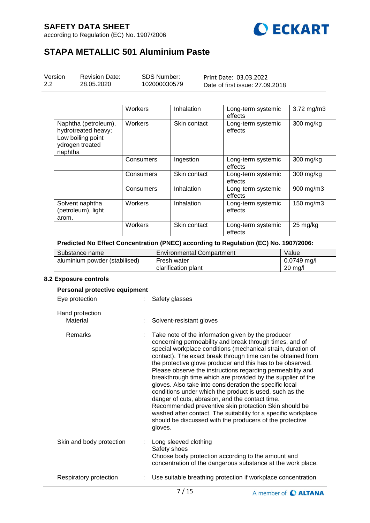according to Regulation (EC) No. 1907/2006



# **STAPA METALLIC 501 Aluminium Paste**

| Version | Revi |
|---------|------|
| 2.2     | 28.0 |

ision Date: 05.2020

SDS Number: 102000030579

Print Date: 03.03.2022 Date of first issue: 27.09.2018

|                                                                                                | Workers   | Inhalation   | Long-term systemic<br>effects | $3.72$ mg/m $3$    |
|------------------------------------------------------------------------------------------------|-----------|--------------|-------------------------------|--------------------|
| Naphtha (petroleum),<br>hydrotreated heavy;<br>Low boiling point<br>ydrogen treated<br>naphtha | Workers   | Skin contact | Long-term systemic<br>effects | 300 mg/kg          |
|                                                                                                | Consumers | Ingestion    | Long-term systemic<br>effects | 300 mg/kg          |
|                                                                                                | Consumers | Skin contact | Long-term systemic<br>effects | 300 mg/kg          |
|                                                                                                | Consumers | Inhalation   | Long-term systemic<br>effects | 900 mg/m3          |
| Solvent naphtha<br>(petroleum), light<br>arom.                                                 | Workers   | Inhalation   | Long-term systemic<br>effects | 150 mg/m3          |
|                                                                                                | Workers   | Skin contact | Long-term systemic<br>effects | $25 \text{ mg/kg}$ |

### **Predicted No Effect Concentration (PNEC) according to Regulation (EC) No. 1907/2006:**

| Substance name                | <b>Environmental Compartment</b> | Value         |
|-------------------------------|----------------------------------|---------------|
| aluminium powder (stabilised) | Fresh water                      | $0.0749$ ma/l |
|                               | clarification plant              | 20 ma/l       |

#### **8.2 Exposure controls**

| Personal protective equipment |                                                                                                                                                                                                                                                                                                                                                                                                                                                                                                                                                                                                                                                                                                                                                                                                                    |
|-------------------------------|--------------------------------------------------------------------------------------------------------------------------------------------------------------------------------------------------------------------------------------------------------------------------------------------------------------------------------------------------------------------------------------------------------------------------------------------------------------------------------------------------------------------------------------------------------------------------------------------------------------------------------------------------------------------------------------------------------------------------------------------------------------------------------------------------------------------|
| Eye protection                | Safety glasses                                                                                                                                                                                                                                                                                                                                                                                                                                                                                                                                                                                                                                                                                                                                                                                                     |
| Hand protection<br>Material   | Solvent-resistant gloves                                                                                                                                                                                                                                                                                                                                                                                                                                                                                                                                                                                                                                                                                                                                                                                           |
| Remarks                       | Take note of the information given by the producer<br>concerning permeability and break through times, and of<br>special workplace conditions (mechanical strain, duration of<br>contact). The exact break through time can be obtained from<br>the protective glove producer and this has to be observed.<br>Please observe the instructions regarding permeability and<br>breakthrough time which are provided by the supplier of the<br>gloves. Also take into consideration the specific local<br>conditions under which the product is used, such as the<br>danger of cuts, abrasion, and the contact time.<br>Recommended preventive skin protection Skin should be<br>washed after contact. The suitability for a specific workplace<br>should be discussed with the producers of the protective<br>gloves. |
| Skin and body protection      | Long sleeved clothing<br>Safety shoes<br>Choose body protection according to the amount and<br>concentration of the dangerous substance at the work place.                                                                                                                                                                                                                                                                                                                                                                                                                                                                                                                                                                                                                                                         |
| Respiratory protection        | Use suitable breathing protection if workplace concentration                                                                                                                                                                                                                                                                                                                                                                                                                                                                                                                                                                                                                                                                                                                                                       |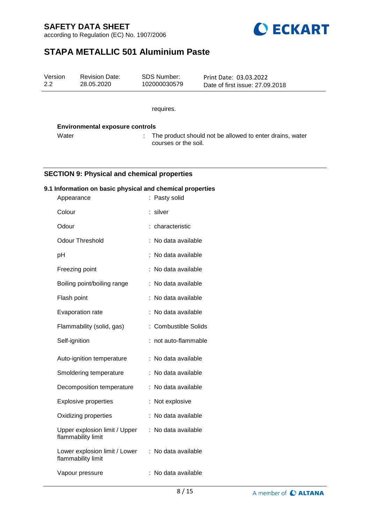according to Regulation (EC) No. 1907/2006



# **STAPA METALLIC 501 Aluminium Paste**

| Version<br>2.2 | <b>Revision Date:</b><br>28.05.2020                       | SDS Number:<br>102000030579 | Print Date: 03.03.2022<br>Date of first issue: 27.09.2018 |  |
|----------------|-----------------------------------------------------------|-----------------------------|-----------------------------------------------------------|--|
|                |                                                           | requires.                   |                                                           |  |
|                |                                                           |                             |                                                           |  |
|                | <b>Environmental exposure controls</b>                    |                             |                                                           |  |
|                | Water                                                     | courses or the soil.        | The product should not be allowed to enter drains, water  |  |
|                |                                                           |                             |                                                           |  |
|                | <b>SECTION 9: Physical and chemical properties</b>        |                             |                                                           |  |
|                | 9.1 Information on basic physical and chemical properties |                             |                                                           |  |
|                | Appearance                                                | : Pasty solid               |                                                           |  |
|                | Colour                                                    | : silver                    |                                                           |  |
|                | Odour                                                     | : characteristic            |                                                           |  |
|                | <b>Odour Threshold</b>                                    | : No data available         |                                                           |  |
| pH             |                                                           | : No data available         |                                                           |  |
|                | Freezing point                                            | : No data available         |                                                           |  |
|                | Boiling point/boiling range                               | : No data available         |                                                           |  |
|                | Flash point                                               | : No data available         |                                                           |  |
|                | Evaporation rate                                          | : No data available         |                                                           |  |
|                | Flammability (solid, gas)                                 | : Combustible Solids        |                                                           |  |
|                | Self-ignition                                             | : not auto-flammable        |                                                           |  |
|                | Auto-ignition temperature                                 | : No data available         |                                                           |  |
|                | Smoldering temperature                                    | : No data available         |                                                           |  |
|                | Decomposition temperature                                 | : No data available         |                                                           |  |
|                | <b>Explosive properties</b>                               | : Not explosive             |                                                           |  |
|                | Oxidizing properties                                      | : No data available         |                                                           |  |
|                | Upper explosion limit / Upper<br>flammability limit       | : No data available         |                                                           |  |
|                | Lower explosion limit / Lower<br>flammability limit       | : No data available         |                                                           |  |
|                | Vapour pressure                                           | : No data available         |                                                           |  |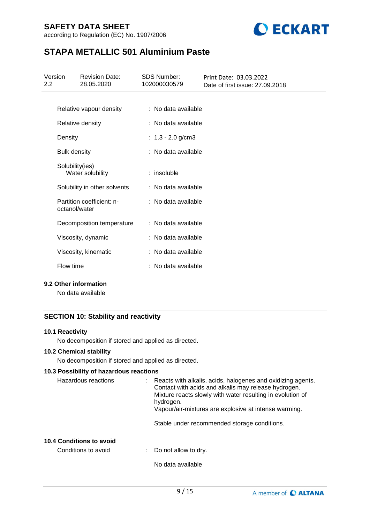according to Regulation (EC) No. 1907/2006



# **STAPA METALLIC 501 Aluminium Paste**

| Version<br>$2.2^{\circ}$ |                     | <b>Revision Date:</b><br>28.05.2020 | <b>SDS Number:</b><br>102000030579 | Print Date: 03.03.2022<br>Date of first issue: 27,09,2018 |
|--------------------------|---------------------|-------------------------------------|------------------------------------|-----------------------------------------------------------|
|                          |                     |                                     |                                    |                                                           |
|                          |                     | Relative vapour density             | : No data available                |                                                           |
|                          |                     | Relative density                    | : No data available                |                                                           |
|                          | Density             |                                     | : $1.3 - 2.0$ g/cm3                |                                                           |
|                          | <b>Bulk density</b> |                                     | : No data available                |                                                           |
|                          | Solubility(ies)     | Water solubility                    | $:$ insoluble                      |                                                           |
|                          |                     | Solubility in other solvents        | : No data available                |                                                           |
|                          | octanol/water       | Partition coefficient: n-           | : No data available                |                                                           |
|                          |                     | Decomposition temperature           | : No data available                |                                                           |
|                          |                     | Viscosity, dynamic                  | : No data available                |                                                           |
|                          |                     | Viscosity, kinematic                | : No data available                |                                                           |
|                          | Flow time           |                                     | : No data available                |                                                           |

### **9.2 Other information**

No data available

### **SECTION 10: Stability and reactivity**

### **10.1 Reactivity**

No decomposition if stored and applied as directed.

### **10.2 Chemical stability**

No decomposition if stored and applied as directed.

### **10.3 Possibility of hazardous reactions**

| Hazardous reactions | : Reacts with alkalis, acids, halogenes and oxidizing agents.<br>Contact with acids and alkalis may release hydrogen.<br>Mixture reacts slowly with water resulting in evolution of<br>hydrogen.<br>Vapour/air-mixtures are explosive at intense warming. |
|---------------------|-----------------------------------------------------------------------------------------------------------------------------------------------------------------------------------------------------------------------------------------------------------|
|                     |                                                                                                                                                                                                                                                           |

# Stable under recommended storage conditions.

### **10.4 Conditions to avoid**

| Conditions to avoid |  | Do not allow to dry. |
|---------------------|--|----------------------|
|---------------------|--|----------------------|

No data available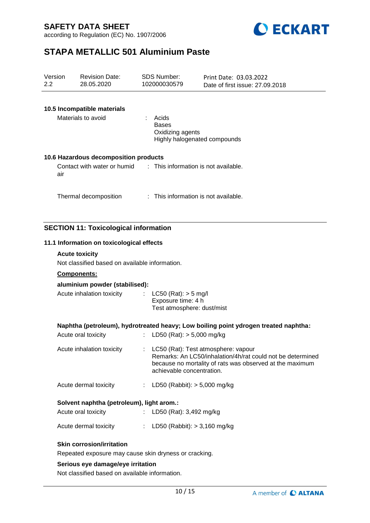according to Regulation (EC) No. 1907/2006



# **STAPA METALLIC 501 Aluminium Paste**

| Version<br>2.2 |     | <b>Revision Date:</b><br>28.05.2020                              |    | <b>SDS Number:</b><br>102000030579                                           | Print Date: 03.03.2022<br>Date of first issue: 27.09.2018                                                                                                     |
|----------------|-----|------------------------------------------------------------------|----|------------------------------------------------------------------------------|---------------------------------------------------------------------------------------------------------------------------------------------------------------|
|                |     |                                                                  |    |                                                                              |                                                                                                                                                               |
|                |     | 10.5 Incompatible materials                                      |    |                                                                              |                                                                                                                                                               |
|                |     | Materials to avoid                                               |    | : Acids<br><b>Bases</b><br>Oxidizing agents<br>Highly halogenated compounds  |                                                                                                                                                               |
|                |     | 10.6 Hazardous decomposition products                            |    |                                                                              |                                                                                                                                                               |
|                | air | Contact with water or humid : This information is not available. |    |                                                                              |                                                                                                                                                               |
|                |     | Thermal decomposition                                            |    | : This information is not available.                                         |                                                                                                                                                               |
|                |     |                                                                  |    |                                                                              |                                                                                                                                                               |
|                |     | <b>SECTION 11: Toxicological information</b>                     |    |                                                                              |                                                                                                                                                               |
|                |     | 11.1 Information on toxicological effects                        |    |                                                                              |                                                                                                                                                               |
|                |     | <b>Acute toxicity</b>                                            |    |                                                                              |                                                                                                                                                               |
|                |     | Not classified based on available information.                   |    |                                                                              |                                                                                                                                                               |
|                |     | Components:                                                      |    |                                                                              |                                                                                                                                                               |
|                |     | aluminium powder (stabilised):                                   |    |                                                                              |                                                                                                                                                               |
|                |     | Acute inhalation toxicity                                        |    | : LC50 (Rat): $>$ 5 mg/l<br>Exposure time: 4 h<br>Test atmosphere: dust/mist |                                                                                                                                                               |
|                |     |                                                                  |    |                                                                              | Naphtha (petroleum), hydrotreated heavy; Low boiling point ydrogen treated naphtha:                                                                           |
|                |     | Acute oral toxicity                                              | ÷. | LD50 (Rat): $> 5,000$ mg/kg                                                  |                                                                                                                                                               |
|                |     | Acute inhalation toxicity                                        |    | achievable concentration.                                                    | LC50 (Rat): Test atmosphere: vapour<br>Remarks: An LC50/inhalation/4h/rat could not be determined<br>because no mortality of rats was observed at the maximum |
|                |     | Acute dermal toxicity                                            |    | : LD50 (Rabbit): $> 5,000$ mg/kg                                             |                                                                                                                                                               |
|                |     | Solvent naphtha (petroleum), light arom.:                        |    |                                                                              |                                                                                                                                                               |
|                |     | Acute oral toxicity                                              |    | LD50 (Rat): 3,492 mg/kg                                                      |                                                                                                                                                               |
|                |     | Acute dermal toxicity                                            |    | : LD50 (Rabbit): $> 3,160$ mg/kg                                             |                                                                                                                                                               |
|                |     | <b>Skin corrosion/irritation</b>                                 |    |                                                                              |                                                                                                                                                               |
|                |     | Repeated exposure may cause skin dryness or cracking.            |    |                                                                              |                                                                                                                                                               |
|                |     | Serious eye damage/eye irritation                                |    |                                                                              |                                                                                                                                                               |
|                |     | Not classified based on available information.                   |    |                                                                              |                                                                                                                                                               |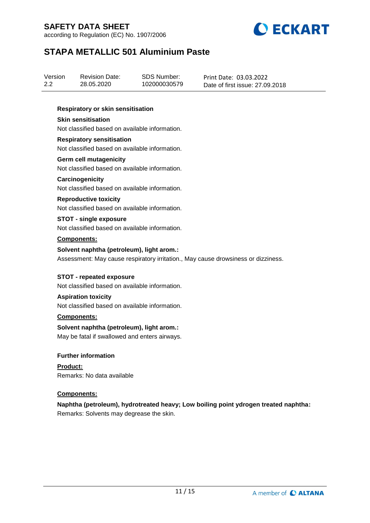according to Regulation (EC) No. 1907/2006



# **STAPA METALLIC 501 Aluminium Paste**

| Version<br>2.2                                                                                                                 |                    | <b>Revision Date:</b><br>28.05.2020                                                | <b>SDS Number:</b><br>102000030579 | Print Date: 03.03.2022<br>Date of first issue: 27,09,2018                           |
|--------------------------------------------------------------------------------------------------------------------------------|--------------------|------------------------------------------------------------------------------------|------------------------------------|-------------------------------------------------------------------------------------|
|                                                                                                                                |                    | Respiratory or skin sensitisation                                                  |                                    |                                                                                     |
|                                                                                                                                |                    | <b>Skin sensitisation</b><br>Not classified based on available information.        |                                    |                                                                                     |
|                                                                                                                                |                    | <b>Respiratory sensitisation</b><br>Not classified based on available information. |                                    |                                                                                     |
|                                                                                                                                |                    | <b>Germ cell mutagenicity</b><br>Not classified based on available information.    |                                    |                                                                                     |
|                                                                                                                                |                    | Carcinogenicity<br>Not classified based on available information.                  |                                    |                                                                                     |
|                                                                                                                                |                    | <b>Reproductive toxicity</b><br>Not classified based on available information.     |                                    |                                                                                     |
|                                                                                                                                |                    | <b>STOT - single exposure</b><br>Not classified based on available information.    |                                    |                                                                                     |
|                                                                                                                                | Components:        |                                                                                    |                                    |                                                                                     |
| Solvent naphtha (petroleum), light arom.:<br>Assessment: May cause respiratory irritation., May cause drowsiness or dizziness. |                    |                                                                                    |                                    |                                                                                     |
|                                                                                                                                |                    | <b>STOT - repeated exposure</b><br>Not classified based on available information.  |                                    |                                                                                     |
|                                                                                                                                |                    | <b>Aspiration toxicity</b><br>Not classified based on available information.       |                                    |                                                                                     |
|                                                                                                                                | Components:        |                                                                                    |                                    |                                                                                     |
| Solvent naphtha (petroleum), light arom.:<br>May be fatal if swallowed and enters airways.                                     |                    |                                                                                    |                                    |                                                                                     |
|                                                                                                                                |                    | <b>Further information</b>                                                         |                                    |                                                                                     |
|                                                                                                                                | <b>Product:</b>    | Remarks: No data available                                                         |                                    |                                                                                     |
|                                                                                                                                | <b>Components:</b> |                                                                                    |                                    |                                                                                     |
|                                                                                                                                |                    | Remarks: Solvents may degrease the skin.                                           |                                    | Naphtha (petroleum), hydrotreated heavy; Low boiling point ydrogen treated naphtha: |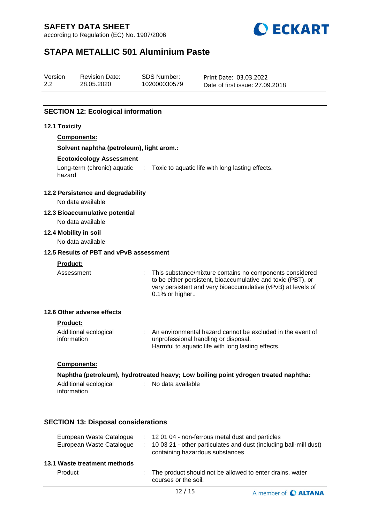according to Regulation (EC) No. 1907/2006



# **STAPA METALLIC 501 Aluminium Paste**

| -2.2<br>102000030579<br>28.05.2020<br>Date of first issue: 27,09,2018 | Print Date: 03.03.2022 |
|-----------------------------------------------------------------------|------------------------|
|-----------------------------------------------------------------------|------------------------|

## **SECTION 12: Ecological information**

### **12.1 Toxicity**

| <b>Components:</b>                                  |                                                                                                                                                                                                            |
|-----------------------------------------------------|------------------------------------------------------------------------------------------------------------------------------------------------------------------------------------------------------------|
| Solvent naphtha (petroleum), light arom.:           |                                                                                                                                                                                                            |
| <b>Ecotoxicology Assessment</b>                     |                                                                                                                                                                                                            |
| hazard                                              | Long-term (chronic) aquatic : Toxic to aquatic life with long lasting effects.                                                                                                                             |
| 12.2 Persistence and degradability                  |                                                                                                                                                                                                            |
| No data available                                   |                                                                                                                                                                                                            |
| 12.3 Bioaccumulative potential<br>No data available |                                                                                                                                                                                                            |
| 12.4 Mobility in soil                               |                                                                                                                                                                                                            |
| No data available                                   |                                                                                                                                                                                                            |
| 12.5 Results of PBT and vPvB assessment             |                                                                                                                                                                                                            |
| <b>Product:</b>                                     |                                                                                                                                                                                                            |
| Assessment                                          | This substance/mixture contains no components considered<br>to be either persistent, bioaccumulative and toxic (PBT), or<br>very persistent and very bioaccumulative (vPvB) at levels of<br>0.1% or higher |
| 12.6 Other adverse effects                          |                                                                                                                                                                                                            |
| <b>Product:</b>                                     |                                                                                                                                                                                                            |
| Additional ecological<br>information                | : An environmental hazard cannot be excluded in the event of<br>unprofessional handling or disposal.<br>Harmful to aquatic life with long lasting effects.                                                 |
| <b>Components:</b>                                  |                                                                                                                                                                                                            |
|                                                     | Naphtha (petroleum), hydrotreated heavy; Low boiling point ydrogen treated naphtha:                                                                                                                        |
| Additional ecological<br>÷<br>information           | No data available                                                                                                                                                                                          |

## **SECTION 13: Disposal considerations**

| 13.1 Waste treatment methods<br>Product<br>The product should not be allowed to enter drains, water<br>courses or the soil. | European Waste Catalogue<br>European Waste Catalogue | : 12 01 04 - non-ferrous metal dust and particles<br>: 10 03 21 - other particulates and dust (including ball-mill dust)<br>containing hazardous substances |
|-----------------------------------------------------------------------------------------------------------------------------|------------------------------------------------------|-------------------------------------------------------------------------------------------------------------------------------------------------------------|
|                                                                                                                             |                                                      |                                                                                                                                                             |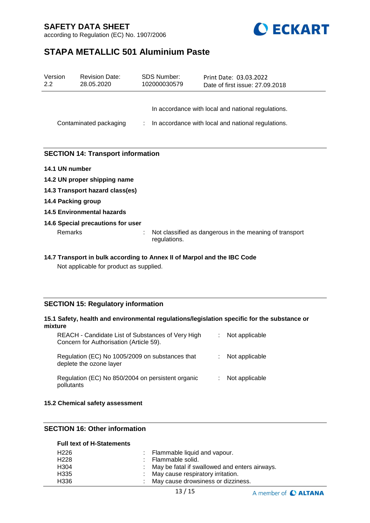



# **STAPA METALLIC 501 Aluminium Paste**

| Version<br>$2.2\phantom{0}$ | <b>Revision Date:</b><br>28.05.2020                                     | <b>SDS Number:</b><br>102000030579 | Print Date: 03.03.2022<br>Date of first issue: 27.09.2018                                                |  |  |
|-----------------------------|-------------------------------------------------------------------------|------------------------------------|----------------------------------------------------------------------------------------------------------|--|--|
|                             | Contaminated packaging                                                  | ÷                                  | In accordance with local and national regulations.<br>In accordance with local and national regulations. |  |  |
|                             |                                                                         |                                    |                                                                                                          |  |  |
|                             | <b>SECTION 14: Transport information</b>                                |                                    |                                                                                                          |  |  |
| 14.1 UN number              |                                                                         |                                    |                                                                                                          |  |  |
|                             | 14.2 UN proper shipping name                                            |                                    |                                                                                                          |  |  |
|                             | 14.3 Transport hazard class(es)                                         |                                    |                                                                                                          |  |  |
| 14.4 Packing group          |                                                                         |                                    |                                                                                                          |  |  |
|                             | 14.5 Environmental hazards                                              |                                    |                                                                                                          |  |  |
|                             | 14.6 Special precautions for user                                       |                                    |                                                                                                          |  |  |
| Remarks                     |                                                                         | regulations.                       | Not classified as dangerous in the meaning of transport                                                  |  |  |
|                             | 14.7 Transport in bulk according to Annex II of Marpol and the IBC Code |                                    |                                                                                                          |  |  |

Not applicable for product as supplied.

### **SECTION 15: Regulatory information**

#### **15.1 Safety, health and environmental regulations/legislation specific for the substance or mixture**

| REACH - Candidate List of Substances of Very High<br>Concern for Authorisation (Article 59). | t. | Not applicable |
|----------------------------------------------------------------------------------------------|----|----------------|
| Regulation (EC) No 1005/2009 on substances that<br>deplete the ozone layer                   | ÷. | Not applicable |
| Regulation (EC) No 850/2004 on persistent organic<br>pollutants                              | ÷. | Not applicable |

#### **15.2 Chemical safety assessment**

### **SECTION 16: Other information**

#### **Full text of H-Statements**

| H226             | $\therefore$ Flammable liquid and vapour.       |
|------------------|-------------------------------------------------|
| H <sub>228</sub> | : Flammable solid.                              |
| H304             | : May be fatal if swallowed and enters airways. |
| H335             | : May cause respiratory irritation.             |
| H336             | : May cause drowsiness or dizziness.            |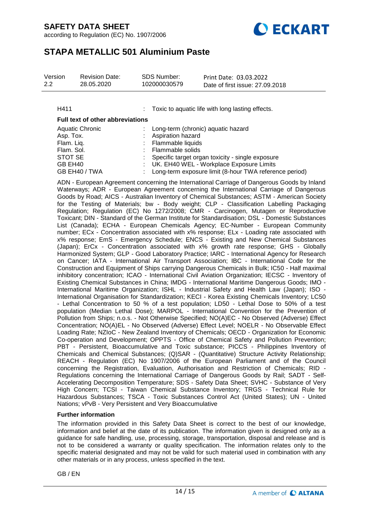according to Regulation (EC) No. 1907/2006



# **STAPA METALLIC 501 Aluminium Paste**

| Version | <b>Revision Date:</b> | SDS Number:  | Print Date: 03.03.2022          |
|---------|-----------------------|--------------|---------------------------------|
| 2.2     | 28.05.2020            | 102000030579 | Date of first issue: 27,09,2018 |

H411 : Toxic to aquatic life with long lasting effects.

#### **Full text of other abbreviations**

| <b>Aquatic Chronic</b> | : Long-term (chronic) aquatic hazard                     |
|------------------------|----------------------------------------------------------|
| Asp. Tox.              | <b>Aspiration hazard</b>                                 |
| Flam. Liq.             | : Flammable liquids                                      |
| Flam. Sol.             | : Flammable solids                                       |
| STOT SE                | : Specific target organ toxicity - single exposure       |
| GB EH40                | : UK. EH40 WEL - Workplace Exposure Limits               |
| GB EH40 / TWA          | : Long-term exposure limit (8-hour TWA reference period) |

ADN - European Agreement concerning the International Carriage of Dangerous Goods by Inland Waterways; ADR - European Agreement concerning the International Carriage of Dangerous Goods by Road; AICS - Australian Inventory of Chemical Substances; ASTM - American Society for the Testing of Materials; bw - Body weight; CLP - Classification Labelling Packaging Regulation; Regulation (EC) No 1272/2008; CMR - Carcinogen, Mutagen or Reproductive Toxicant; DIN - Standard of the German Institute for Standardisation; DSL - Domestic Substances List (Canada); ECHA - European Chemicals Agency; EC-Number - European Community number; ECx - Concentration associated with x% response; ELx - Loading rate associated with x% response; EmS - Emergency Schedule; ENCS - Existing and New Chemical Substances (Japan); ErCx - Concentration associated with x% growth rate response; GHS - Globally Harmonized System; GLP - Good Laboratory Practice; IARC - International Agency for Research on Cancer; IATA - International Air Transport Association; IBC - International Code for the Construction and Equipment of Ships carrying Dangerous Chemicals in Bulk; IC50 - Half maximal inhibitory concentration; ICAO - International Civil Aviation Organization; IECSC - Inventory of Existing Chemical Substances in China; IMDG - International Maritime Dangerous Goods; IMO - International Maritime Organization; ISHL - Industrial Safety and Health Law (Japan); ISO - International Organisation for Standardization; KECI - Korea Existing Chemicals Inventory; LC50 - Lethal Concentration to 50 % of a test population; LD50 - Lethal Dose to 50% of a test population (Median Lethal Dose); MARPOL - International Convention for the Prevention of Pollution from Ships; n.o.s. - Not Otherwise Specified; NO(A)EC - No Observed (Adverse) Effect Concentration; NO(A)EL - No Observed (Adverse) Effect Level; NOELR - No Observable Effect Loading Rate; NZIoC - New Zealand Inventory of Chemicals; OECD - Organization for Economic Co-operation and Development; OPPTS - Office of Chemical Safety and Pollution Prevention; PBT - Persistent, Bioaccumulative and Toxic substance; PICCS - Philippines Inventory of Chemicals and Chemical Substances; (Q)SAR - (Quantitative) Structure Activity Relationship; REACH - Regulation (EC) No 1907/2006 of the European Parliament and of the Council concerning the Registration, Evaluation, Authorisation and Restriction of Chemicals; RID - Regulations concerning the International Carriage of Dangerous Goods by Rail; SADT - Self-Accelerating Decomposition Temperature; SDS - Safety Data Sheet; SVHC - Substance of Very High Concern; TCSI - Taiwan Chemical Substance Inventory; TRGS - Technical Rule for Hazardous Substances; TSCA - Toxic Substances Control Act (United States); UN - United Nations; vPvB - Very Persistent and Very Bioaccumulative

#### **Further information**

The information provided in this Safety Data Sheet is correct to the best of our knowledge, information and belief at the date of its publication. The information given is designed only as a guidance for safe handling, use, processing, storage, transportation, disposal and release and is not to be considered a warranty or quality specification. The information relates only to the specific material designated and may not be valid for such material used in combination with any other materials or in any process, unless specified in the text.